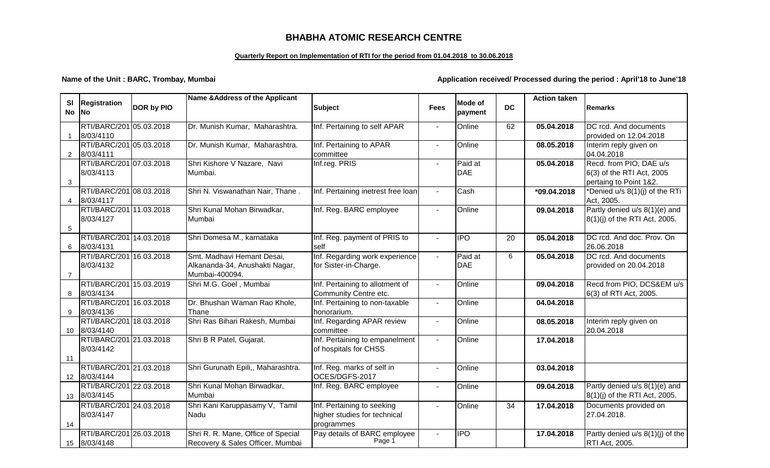## **BHABHA ATOMIC RESEARCH CENTRE**

### **Quarterly Report on Implementation of RTI for the period from 01.04.2018 to 30.06.2018**

### **Name of the Unit : BARC, Trombay, Mumbai Application received/ Processed during the period : April'18 to June'18**

|                 |                                      |            | Name & Address of the Applicant                  |                                                         |                |                           |           | <b>Action taken</b> |                                     |
|-----------------|--------------------------------------|------------|--------------------------------------------------|---------------------------------------------------------|----------------|---------------------------|-----------|---------------------|-------------------------------------|
| SI<br><b>No</b> | <b>Registration</b><br><b>INo</b>    | DOR by PIO |                                                  | <b>Subject</b>                                          | <b>Fees</b>    | <b>Mode of</b><br>payment | <b>DC</b> |                     | Remarks                             |
|                 | RTI/BARC/201 05.03.2018              |            | Dr. Munish Kumar, Maharashtra.                   | Inf. Pertaining to self APAR                            | $\blacksquare$ | Online                    | 62        | 05.04.2018          | DC rcd. And documents               |
| $\mathbf{1}$    | 8/03/4110                            |            |                                                  |                                                         |                |                           |           |                     | provided on 12.04.2018              |
|                 | RTI/BARC/201 05.03.2018              |            | Dr. Munish Kumar, Maharashtra.                   | Inf. Pertaining to APAR                                 | $\blacksquare$ | Online                    |           | 08.05.2018          | Interim reply given on              |
| $\overline{2}$  | 8/03/4111                            |            |                                                  | committee                                               |                |                           |           |                     | 04.04.2018                          |
|                 | RTI/BARC/201 07.03.2018              |            | Shri Kishore V Nazare, Navi                      | Inf.reg. PRIS                                           |                | Paid at                   |           | 05.04.2018          | Recd. from PIO, DAE u/s             |
|                 | 8/03/4113                            |            | Mumbai.                                          |                                                         |                | <b>DAE</b>                |           |                     | 6(3) of the RTI Act, 2005           |
| 3               |                                      |            |                                                  |                                                         |                |                           |           |                     | pertaing to Point 1&2.              |
|                 | RTI/BARC/201 08.03.2018              |            | Shri N. Viswanathan Nair, Thane.                 | Inf. Pertaining inetrest free loan                      |                | Cash                      |           | *09.04.2018         | *Denied u/s 8(1)(j) of the RTi      |
| $\overline{4}$  | 8/03/4117                            |            |                                                  |                                                         |                |                           |           |                     | Act, 2005.                          |
|                 | RTI/BARC/201 11.03.2018              |            | Shri Kunal Mohan Birwadkar,                      | Inf. Reg. BARC employee                                 | $\blacksquare$ | Online                    |           | 09.04.2018          | Partly denied u/s 8(1)(e) and       |
|                 | 8/03/4127                            |            | Mumbai                                           |                                                         |                |                           |           |                     | 8(1)(j) of the RTI Act, 2005.       |
| $5\phantom{.0}$ |                                      |            |                                                  |                                                         |                |                           |           |                     |                                     |
|                 | RTI/BARC/201 14.03.2018              |            | Shri Domesa M., karnataka                        | Inf. Reg. payment of PRIS to                            | $\mathbf{r}$   | <b>IPO</b>                | 20        | 05.04.2018          | DC rcd. And doc. Prov. On           |
| 6               | 8/03/4131                            |            |                                                  | self                                                    |                | Paid at                   |           |                     | 26.06.2018<br>DC rcd. And documents |
|                 | RTI/BARC/201 16.03.2018<br>8/03/4132 |            | Smt. Madhavi Hemant Desai,                       | Inf. Regarding work experience<br>for Sister-in-Charge. | $\sim$         | <b>DAE</b>                | 6         | 05.04.2018          | provided on 20.04.2018              |
| $\overline{7}$  |                                      |            | Alkananda-34, Anushakti Nagar,<br>Mumbai-400094. |                                                         |                |                           |           |                     |                                     |
|                 | RTI/BARC/201 15.03.2019              |            | Shri M.G. Goel, Mumbai                           | Inf. Pertaining to allotment of                         | $\overline{a}$ | Online                    |           | 09.04.2018          | Recd.from PIO, DCS&EM u/s           |
| 8               | 8/03/4134                            |            |                                                  | Community Centre etc.                                   |                |                           |           |                     | 6(3) of RTI Act, 2005.              |
|                 | RTI/BARC/201 16.03.2018              |            | Dr. Bhushan Waman Rao Khole,                     | Inf. Pertaining to non-taxable                          | $\blacksquare$ | Online                    |           | 04.04.2018          |                                     |
| 9               | 8/03/4136                            |            | Thane                                            | honorarium.                                             |                |                           |           |                     |                                     |
|                 | RTI/BARC/201 18.03.2018              |            | Shri Ras Bihari Rakesh, Mumbai                   | Inf. Regarding APAR review                              | $\sim$         | Online                    |           | 08.05.2018          | Interim reply given on              |
| 10              | 8/03/4140                            |            |                                                  | committee                                               |                |                           |           |                     | 20.04.2018                          |
|                 | RTI/BARC/201 21.03.2018              |            | Shri B R Patel, Gujarat.                         | Inf. Pertaining to empanelment                          |                | Online                    |           | 17.04.2018          |                                     |
|                 | 8/03/4142                            |            |                                                  | of hospitals for CHSS                                   |                |                           |           |                     |                                     |
| 11              |                                      |            |                                                  |                                                         |                |                           |           |                     |                                     |
|                 | RTI/BARC/201 21.03.2018              |            | Shri Gurunath Epili,, Maharashtra.               | Inf. Reg. marks of self in                              |                | Online                    |           | 03.04.2018          |                                     |
| 12 <sup>2</sup> | 8/03/4144                            |            |                                                  | OCES/DGFS-2017                                          |                |                           |           |                     |                                     |
|                 | RTI/BARC/201 22.03.2018              |            | Shri Kunal Mohan Birwadkar,                      | Inf. Reg. BARC employee                                 |                | Online                    |           | 09.04.2018          | Partly denied $u/s$ 8(1)(e) and     |
| 13              | 8/03/4145                            |            | Mumbai                                           |                                                         |                |                           |           |                     | 8(1)(j) of the RTI Act, 2005.       |
|                 | RTI/BARC/201 24.03.2018              |            | Shri Kani Karuppasamy V, Tamil                   | Inf. Pertaining to seeking                              |                | Online                    | 34        | 17.04.2018          | Documents provided on               |
|                 | 8/03/4147                            |            | Nadu                                             | higher studies for technical                            |                |                           |           |                     | 27.04.2018.                         |
| 14              |                                      |            |                                                  | programmes                                              |                |                           |           |                     |                                     |
|                 | RTI/BARC/201 26.03.2018              |            | Shri R. R. Mane, Office of Special               | Pay details of BARC employee                            |                | <b>IPO</b>                |           | 17.04.2018          | Partly denied u/s 8(1)(j) of the    |
| 15              | 8/03/4148                            |            | Recovery & Sales Officer, Mumbai                 | Page 1                                                  |                |                           |           |                     | RTI Act, 2005.                      |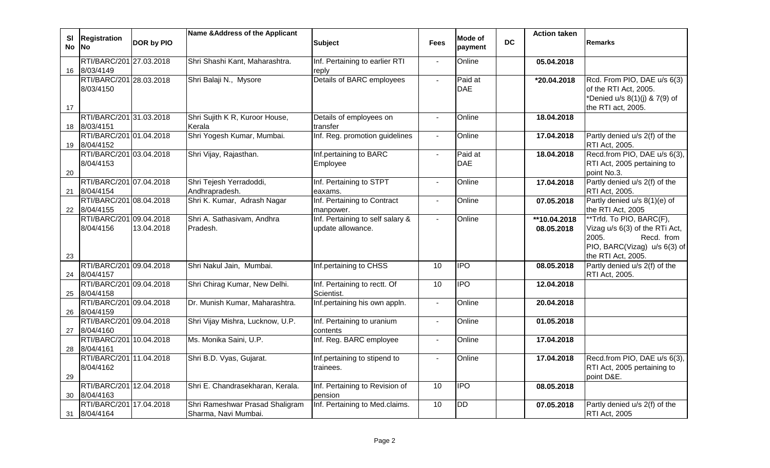| <b>SI</b><br><b>No</b> | <b>Registration</b><br><b>No</b>        | <b>DOR by PIO</b> | Name & Address of the Applicant                         | <b>Subject</b>                                        | <b>Fees</b>              | Mode of<br>payment    | <b>DC</b> | <b>Action taken</b>        | <b>Remarks</b>                                                                                                                          |
|------------------------|-----------------------------------------|-------------------|---------------------------------------------------------|-------------------------------------------------------|--------------------------|-----------------------|-----------|----------------------------|-----------------------------------------------------------------------------------------------------------------------------------------|
| 16                     | RTI/BARC/201 27.03.2018<br>8/03/4149    |                   | Shri Shashi Kant, Maharashtra.                          | Inf. Pertaining to earlier RTI<br>reply               |                          | Online                |           | 05.04.2018                 |                                                                                                                                         |
| 17                     | RTI/BARC/201 28.03.2018<br>8/03/4150    |                   | Shri Balaji N., Mysore                                  | Details of BARC employees                             |                          | Paid at<br><b>DAE</b> |           | *20.04.2018                | Rcd. From PIO, DAE u/s 6(3)<br>of the RTI Act, 2005.<br>*Denied u/s 8(1)(j) & 7(9) of<br>the RTI act, 2005.                             |
|                        | RTI/BARC/201 31.03.2018<br>18 8/03/4151 |                   | Shri Sujith K R, Kuroor House,<br>Kerala                | Details of employees on<br>transfer                   | $\blacksquare$           | Online                |           | 18.04.2018                 |                                                                                                                                         |
| 19                     | RTI/BARC/201 01.04.2018<br>8/04/4152    |                   | Shri Yogesh Kumar, Mumbai.                              | Inf. Reg. promotion guidelines                        | $\overline{\phantom{a}}$ | Online                |           | 17.04.2018                 | Partly denied u/s 2(f) of the<br>RTI Act, 2005.                                                                                         |
| 20                     | RTI/BARC/201 03.04.2018<br>8/04/4153    |                   | Shri Vijay, Rajasthan.                                  | Inf.pertaining to BARC<br>Employee                    | $\blacksquare$           | Paid at<br><b>DAE</b> |           | 18.04.2018                 | Recd.from PIO, DAE u/s 6(3),<br>RTI Act, 2005 pertaining to<br>point No.3.                                                              |
|                        | RTI/BARC/201 07.04.2018<br>21 8/04/4154 |                   | Shri Tejesh Yerradoddi,<br>Andhrapradesh.               | Inf. Pertaining to STPT<br>eaxams.                    | $\overline{\phantom{a}}$ | Online                |           | 17.04.2018                 | Partly denied u/s 2(f) of the<br>RTI Act, 2005.                                                                                         |
| 22                     | RTI/BARC/201 08.04.2018<br>8/04/4155    |                   | Shri K. Kumar, Adrash Nagar                             | Inf. Pertaining to Contract<br>manpower.              | $\blacksquare$           | Online                |           | 07.05.2018                 | Partly denied u/s 8(1)(e) of<br>the RTI Act, 2005                                                                                       |
| 23                     | RTI/BARC/201 09.04.2018<br>8/04/4156    | 13.04.2018        | Shri A. Sathasivam, Andhra<br>Pradesh.                  | Inf. Pertaining to self salary &<br>update allowance. | $\overline{\phantom{a}}$ | Online                |           | **10.04.2018<br>08.05.2018 | **Trfd. To PIO, BARC(F),<br>Vizag u/s 6(3) of the RTi Act,<br>2005.<br>Recd. from<br>PIO, BARC(Vizag) u/s 6(3) of<br>the RTI Act, 2005. |
|                        | RTI/BARC/201 09.04.2018<br>24 8/04/4157 |                   | Shri Nakul Jain, Mumbai.                                | Inf.pertaining to CHSS                                | 10                       | <b>IPO</b>            |           | 08.05.2018                 | Partly denied u/s 2(f) of the<br>RTI Act, 2005.                                                                                         |
| 25                     | RTI/BARC/201 09.04.2018<br>8/04/4158    |                   | Shri Chirag Kumar, New Delhi.                           | Inf. Pertaining to rectt. Of<br>Scientist.            | 10                       | <b>IPO</b>            |           | 12.04.2018                 |                                                                                                                                         |
| 26                     | RTI/BARC/201 09.04.2018<br>8/04/4159    |                   | Dr. Munish Kumar, Maharashtra.                          | Inf.pertaining his own appln.                         | $\blacksquare$           | Online                |           | 20.04.2018                 |                                                                                                                                         |
| 27                     | RTI/BARC/201 09.04.2018<br>8/04/4160    |                   | Shri Vijay Mishra, Lucknow, U.P.                        | Inf. Pertaining to uranium<br>contents                | $\blacksquare$           | Online                |           | 01.05.2018                 |                                                                                                                                         |
| 28                     | RTI/BARC/201 10.04.2018<br>8/04/4161    |                   | Ms. Monika Saini, U.P.                                  | Inf. Reg. BARC employee                               | $\blacksquare$           | Online                |           | 17.04.2018                 |                                                                                                                                         |
| 29                     | RTI/BARC/201 11.04.2018<br>8/04/4162    |                   | Shri B.D. Vyas, Gujarat.                                | Inf.pertaining to stipend to<br>trainees.             | $\overline{a}$           | Online                |           | 17.04.2018                 | Recd.from PIO, DAE u/s 6(3),<br>RTI Act, 2005 pertaining to<br>point D&E.                                                               |
| 30                     | RTI/BARC/201 12.04.2018<br>8/04/4163    |                   | Shri E. Chandrasekharan, Kerala.                        | Inf. Pertaining to Revision of<br>pension             | 10                       | <b>IPO</b>            |           | 08.05.2018                 |                                                                                                                                         |
|                        | RTI/BARC/201 17.04.2018<br>31 8/04/4164 |                   | Shri Rameshwar Prasad Shaligram<br>Sharma, Navi Mumbai. | Inf. Pertaining to Med.claims.                        | 10                       | <b>DD</b>             |           | 07.05.2018                 | Partly denied u/s 2(f) of the<br><b>RTI Act, 2005</b>                                                                                   |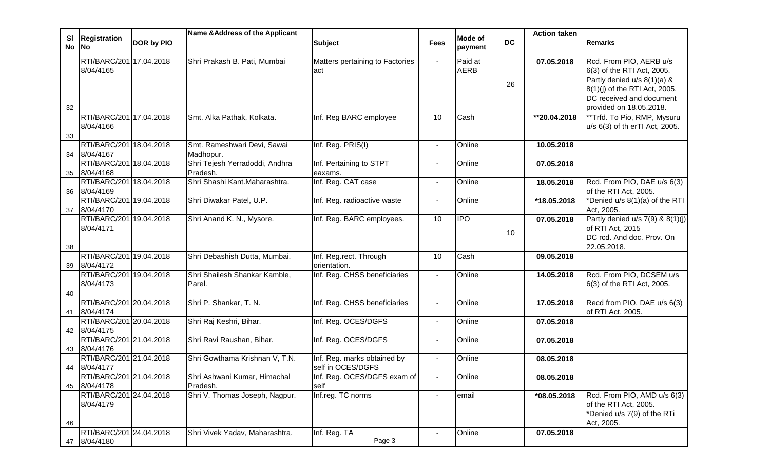| <b>SI</b> |                                         |            | Name & Address of the Applicant |                                                  |                | <b>Mode of</b> |           | <b>Action taken</b> |                                              |
|-----------|-----------------------------------------|------------|---------------------------------|--------------------------------------------------|----------------|----------------|-----------|---------------------|----------------------------------------------|
| No No     | <b>Registration</b>                     | DOR by PIO |                                 | <b>Subject</b>                                   | <b>Fees</b>    | payment        | <b>DC</b> |                     | <b>Remarks</b>                               |
|           | RTI/BARC/201 17.04.2018                 |            | Shri Prakash B. Pati, Mumbai    | Matters pertaining to Factories                  | $\sim$         | Paid at        |           | 07.05.2018          | Rcd. From PIO, AERB u/s                      |
|           | 8/04/4165                               |            |                                 | act                                              |                | <b>AERB</b>    |           |                     | 6(3) of the RTI Act, 2005.                   |
|           |                                         |            |                                 |                                                  |                |                | 26        |                     | Partly denied u/s 8(1)(a) &                  |
|           |                                         |            |                                 |                                                  |                |                |           |                     | 8(1)(j) of the RTI Act, 2005.                |
|           |                                         |            |                                 |                                                  |                |                |           |                     | DC received and document                     |
| 32        |                                         |            |                                 |                                                  |                |                |           |                     | provided on 18.05.2018.                      |
|           | RTI/BARC/201 17.04.2018<br>8/04/4166    |            | Smt. Alka Pathak, Kolkata.      | Inf. Reg BARC employee                           | 10             | Cash           |           | **20.04.2018        | **Trfd. To Pio, RMP, Mysuru                  |
| 33        |                                         |            |                                 |                                                  |                |                |           |                     | u/s 6(3) of th erTI Act, 2005.               |
|           | RTI/BARC/201 18.04.2018                 |            | Smt. Rameshwari Devi, Sawai     | Inf. Reg. PRIS(I)                                | $\blacksquare$ | Online         |           | 10.05.2018          |                                              |
|           | 34 8/04/4167                            |            | Madhopur.                       |                                                  |                |                |           |                     |                                              |
|           | RTI/BARC/201 18.04.2018                 |            | Shri Tejesh Yerradoddi, Andhra  | Inf. Pertaining to STPT                          | $\blacksquare$ | Online         |           | 07.05.2018          |                                              |
|           | 35 8/04/4168                            |            | Pradesh.                        | eaxams.                                          |                |                |           |                     |                                              |
|           | RTI/BARC/201 18.04.2018                 |            | Shri Shashi Kant.Maharashtra.   | Inf. Reg. CAT case                               | $\sim$         | Online         |           | 18.05.2018          | Rcd. From PIO, DAE u/s 6(3)                  |
|           | 36 8/04/4169<br>RTI/BARC/201 19.04.2018 |            |                                 |                                                  |                |                |           |                     | of the RTI Act, 2005.                        |
| 37        | 8/04/4170                               |            | Shri Diwakar Patel, U.P.        | Inf. Reg. radioactive waste                      | $\sim$         | Online         |           | *18.05.2018         | *Denied u/s 8(1)(a) of the RTI<br>Act, 2005. |
|           | RTI/BARC/201 19.04.2018                 |            | Shri Anand K. N., Mysore.       | Inf. Reg. BARC employees.                        | 10             | IPO            |           | 07.05.2018          | Partly denied $u/s$ 7(9) & 8(1)(j)           |
|           | 8/04/4171                               |            |                                 |                                                  |                |                |           |                     | of RTI Act, 2015                             |
|           |                                         |            |                                 |                                                  |                |                | 10        |                     | DC rcd. And doc. Prov. On                    |
| 38        |                                         |            |                                 |                                                  |                |                |           |                     | 22.05.2018.                                  |
|           | RTI/BARC/201 19.04.2018                 |            | Shri Debashish Dutta, Mumbai.   | Inf. Reg.rect. Through                           | 10             | Cash           |           | 09.05.2018          |                                              |
| 39        | 8/04/4172                               |            |                                 | orientation.                                     |                |                |           |                     |                                              |
|           | RTI/BARC/201 19.04.2018                 |            | Shri Shailesh Shankar Kamble,   | Inf. Reg. CHSS beneficiaries                     |                | Online         |           | 14.05.2018          | Rcd. From PIO, DCSEM u/s                     |
|           | 8/04/4173                               |            | Parel.                          |                                                  |                |                |           |                     | 6(3) of the RTI Act, 2005.                   |
| 40        | RTI/BARC/201 20.04.2018                 |            | Shri P. Shankar, T. N.          | Inf. Reg. CHSS beneficiaries                     | $\sim$         | Online         |           | 17.05.2018          | Recd from PIO, DAE u/s 6(3)                  |
| 41        | 8/04/4174                               |            |                                 |                                                  |                |                |           |                     | of RTI Act, 2005.                            |
|           | RTI/BARC/201 20.04.2018                 |            | Shri Raj Keshri, Bihar.         | Inf. Reg. OCES/DGFS                              |                | Online         |           | 07.05.2018          |                                              |
|           | 42 8/04/4175                            |            |                                 |                                                  |                |                |           |                     |                                              |
|           | RTI/BARC/201 21.04.2018                 |            | Shri Ravi Raushan, Bihar.       | Inf. Reg. OCES/DGFS                              |                | Online         |           | 07.05.2018          |                                              |
|           | 43 8/04/4176                            |            |                                 |                                                  |                |                |           |                     |                                              |
|           | RTI/BARC/201 21.04.2018<br>44 8/04/4177 |            | Shri Gowthama Krishnan V, T.N.  | Inf. Reg. marks obtained by<br>self in OCES/DGFS |                | Online         |           | 08.05.2018          |                                              |
|           | RTI/BARC/201 21.04.2018                 |            | Shri Ashwani Kumar, Himachal    | Inf. Reg. OCES/DGFS exam of                      | $\sim$         | Online         |           | 08.05.2018          |                                              |
| 45        | 8/04/4178                               |            | Pradesh.                        | self                                             |                |                |           |                     |                                              |
|           | RTI/BARC/201 24.04.2018                 |            | Shri V. Thomas Joseph, Nagpur.  | Inf.reg. TC norms                                |                | email          |           | *08.05.2018         | Rcd. From PIO, AMD u/s 6(3)                  |
|           | 8/04/4179                               |            |                                 |                                                  |                |                |           |                     | of the RTI Act, 2005.                        |
|           |                                         |            |                                 |                                                  |                |                |           |                     | *Denied u/s 7(9) of the RTi                  |
| 46        |                                         |            |                                 |                                                  |                |                |           |                     | Act, 2005.                                   |
|           | RTI/BARC/201 24.04.2018                 |            | Shri Vivek Yadav, Maharashtra.  | Inf. Reg. TA                                     |                | Online         |           | 07.05.2018          |                                              |
|           | 47 8/04/4180                            |            |                                 | Page 3                                           |                |                |           |                     |                                              |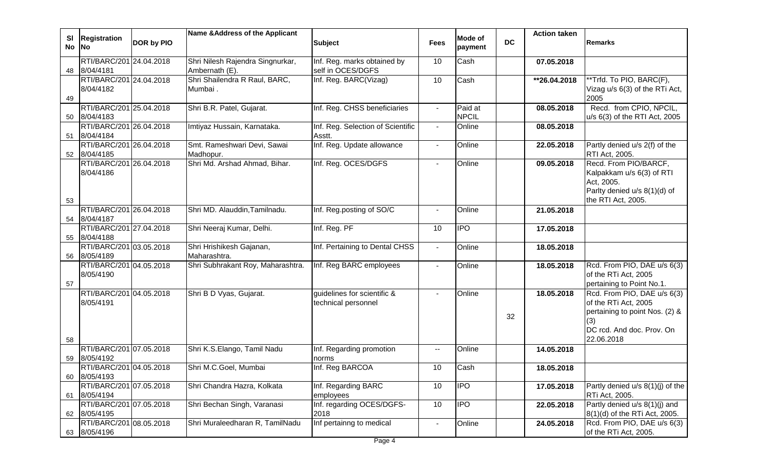| SI<br>No | <b>Registration</b><br><b>No</b>        | <b>DOR by PIO</b> | Name & Address of the Applicant                    | <b>Subject</b>                                     | <b>Fees</b>              | <b>Mode of</b><br>payment | <b>DC</b> | <b>Action taken</b>      | <b>Remarks</b>                                                                                                                          |
|----------|-----------------------------------------|-------------------|----------------------------------------------------|----------------------------------------------------|--------------------------|---------------------------|-----------|--------------------------|-----------------------------------------------------------------------------------------------------------------------------------------|
| 48       | RTI/BARC/201 24.04.2018<br>8/04/4181    |                   | Shri Nilesh Rajendra Singnurkar,<br>Ambernath (E). | Inf. Reg. marks obtained by<br>self in OCES/DGFS   | 10                       | Cash                      |           | 07.05.2018               |                                                                                                                                         |
| 49       | RTI/BARC/201 24.04.2018<br>8/04/4182    |                   | Shri Shailendra R Raul, BARC,<br>Mumbai.           | Inf. Reg. BARC(Vizag)                              | 10                       | Cash                      |           | $\overline{126.04.2018}$ | **Trfd. To PIO, BARC(F),<br>Vizag u/s 6(3) of the RTi Act,<br>2005                                                                      |
| 50       | RTI/BARC/201 25.04.2018<br>8/04/4183    |                   | Shri B.R. Patel, Gujarat.                          | Inf. Reg. CHSS beneficiaries                       | $\blacksquare$           | Paid at<br><b>NPCIL</b>   |           | 08.05.2018               | Recd. from CPIO, NPCIL,<br>u/s 6(3) of the RTI Act, 2005                                                                                |
| 51       | RTI/BARC/201 26.04.2018<br>8/04/4184    |                   | Imtiyaz Hussain, Karnataka.                        | Inf. Reg. Selection of Scientific<br>Asstt.        | $\sim$                   | Online                    |           | 08.05.2018               |                                                                                                                                         |
|          | RTI/BARC/201 26.04.2018<br>52 8/04/4185 |                   | Smt. Rameshwari Devi, Sawai<br>Madhopur.           | Inf. Reg. Update allowance                         | $\blacksquare$           | Online                    |           | 22.05.2018               | Partly denied u/s 2(f) of the<br>RTI Act, 2005.                                                                                         |
| 53       | RTI/BARC/201 26.04.2018<br>8/04/4186    |                   | Shri Md. Arshad Ahmad, Bihar.                      | Inf. Reg. OCES/DGFS                                | $\overline{\phantom{0}}$ | Online                    |           | 09.05.2018               | Recd. From PIO/BARCF,<br>Kalpakkam u/s 6(3) of RTI<br>Act, 2005.<br>Parlty denied u/s 8(1)(d) of<br>the RTI Act, 2005.                  |
| 54       | RTI/BARC/201 26.04.2018<br>8/04/4187    |                   | Shri MD. Alauddin, Tamilnadu.                      | Inf. Reg.posting of SO/C                           |                          | Online                    |           | 21.05.2018               |                                                                                                                                         |
| 55       | RTI/BARC/201 27.04.2018<br>8/04/4188    |                   | Shri Neeraj Kumar, Delhi.                          | Inf. Reg. PF                                       | 10                       | <b>IPO</b>                |           | 17.05.2018               |                                                                                                                                         |
| 56       | RTI/BARC/201 03.05.2018<br>8/05/4189    |                   | Shri Hrishikesh Gajanan,<br>Maharashtra.           | Inf. Pertaining to Dental CHSS                     |                          | Online                    |           | 18.05.2018               |                                                                                                                                         |
| 57       | RTI/BARC/201 04.05.2018<br>8/05/4190    |                   | Shri Subhrakant Roy, Maharashtra.                  | Inf. Reg BARC employees                            |                          | Online                    |           | 18.05.2018               | Rcd. From PIO, DAE u/s 6(3)<br>of the RTi Act, 2005<br>pertaining to Point No.1.                                                        |
| 58       | RTI/BARC/201 04.05.2018<br>8/05/4191    |                   | Shri B D Vyas, Gujarat.                            | guidelines for scientific &<br>technical personnel |                          | Online                    | 32        | 18.05.2018               | Rcd. From PIO, DAE u/s 6(3)<br>of the RTi Act, 2005<br>pertaining to point Nos. (2) &<br>(3)<br>DC rcd. And doc. Prov. On<br>22.06.2018 |
| 59       | RTI/BARC/201 07.05.2018<br>8/05/4192    |                   | Shri K.S.Elango, Tamil Nadu                        | Inf. Regarding promotion                           | $\overline{\phantom{a}}$ | Online                    |           | 14.05.2018               |                                                                                                                                         |
| 60       | RTI/BARC/201 04.05.2018<br>8/05/4193    |                   | Shri M.C.Goel, Mumbai                              | norms<br>Inf. Reg BARCOA                           | 10                       | Cash                      |           | 18.05.2018               |                                                                                                                                         |
|          | RTI/BARC/201 07.05.2018<br>61 8/05/4194 |                   | Shri Chandra Hazra, Kolkata                        | Inf. Regarding BARC<br>employees                   | 10                       | <b>IPO</b>                |           | 17.05.2018               | Partly denied u/s 8(1)(j) of the<br>RTi Act, 2005.                                                                                      |
|          | RTI/BARC/201 07.05.2018<br>62 8/05/4195 |                   | Shri Bechan Singh, Varanasi                        | Inf. regarding OCES/DGFS-<br>2018                  | 10                       | <b>IPO</b>                |           | 22.05.2018               | Partly denied u/s 8(1)(j) and<br>8(1)(d) of the RTi Act, 2005.                                                                          |
|          | RTI/BARC/201 08.05.2018<br>63 8/05/4196 |                   | Shri Muraleedharan R, TamilNadu                    | Inf pertainng to medical                           | $\blacksquare$           | Online                    |           | 24.05.2018               | Rcd. From PIO, DAE u/s 6(3)<br>of the RTi Act, 2005.                                                                                    |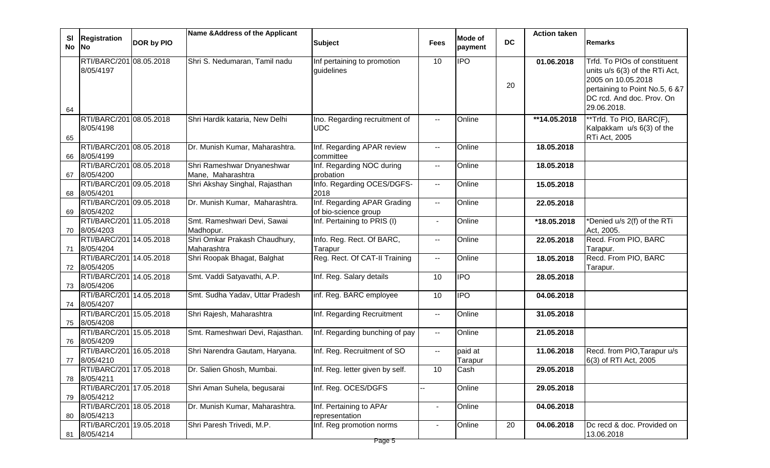|       |                                         |            | Name & Address of the Applicant  |                                 |                          |            |           | <b>Action taken</b> |                                |
|-------|-----------------------------------------|------------|----------------------------------|---------------------------------|--------------------------|------------|-----------|---------------------|--------------------------------|
| SI    | <b>Registration</b>                     | DOR by PIO |                                  | <b>Subject</b>                  | <b>Fees</b>              | Mode of    | <b>DC</b> |                     | Remarks                        |
| No No |                                         |            |                                  |                                 |                          | payment    |           |                     |                                |
|       | RTI/BARC/201 08.05.2018                 |            | Shri S. Nedumaran, Tamil nadu    | Inf pertaining to promotion     | 10                       | <b>IPO</b> |           | 01.06.2018          | Trfd. To PIOs of constituent   |
|       | 8/05/4197                               |            |                                  | guidelines                      |                          |            |           |                     | units u/s 6(3) of the RTi Act, |
|       |                                         |            |                                  |                                 |                          |            |           |                     | 2005 on 10.05.2018             |
|       |                                         |            |                                  |                                 |                          |            | 20        |                     | pertaining to Point No.5, 6 &7 |
|       |                                         |            |                                  |                                 |                          |            |           |                     | DC rcd. And doc. Prov. On      |
| 64    |                                         |            |                                  |                                 |                          |            |           |                     | 29.06.2018.                    |
|       | RTI/BARC/201 08.05.2018                 |            | Shri Hardik kataria, New Delhi   | Ino. Regarding recruitment of   | $\overline{\phantom{a}}$ | Online     |           | **14.05.2018        | **Trfd. To PIO, BARC(F),       |
|       | 8/05/4198                               |            |                                  | <b>UDC</b>                      |                          |            |           |                     | Kalpakkam u/s 6(3) of the      |
| 65    |                                         |            |                                  |                                 |                          |            |           |                     | RTi Act, 2005                  |
|       | RTI/BARC/201 08.05.2018                 |            | Dr. Munish Kumar, Maharashtra.   | Inf. Regarding APAR review      | $\sim$                   | Online     |           | 18.05.2018          |                                |
| 66    | 8/05/4199                               |            |                                  | committee                       |                          |            |           |                     |                                |
|       | RTI/BARC/201 08.05.2018                 |            | Shri Rameshwar Dnyaneshwar       | Inf. Regarding NOC during       | $\sim$                   | Online     |           | 18.05.2018          |                                |
| 67    | 8/05/4200                               |            | Mane, Maharashtra                | probation                       |                          |            |           |                     |                                |
|       | RTI/BARC/201 09.05.2018                 |            | Shri Akshay Singhal, Rajasthan   | Info. Regarding OCES/DGFS-      | $\sim$                   | Online     |           | 15.05.2018          |                                |
| 68    | 8/05/4201                               |            |                                  | 2018                            |                          |            |           |                     |                                |
|       | RTI/BARC/201 09.05.2018                 |            | Dr. Munish Kumar, Maharashtra.   | Inf. Regarding APAR Grading     | $\sim$                   | Online     |           | 22.05.2018          |                                |
| 69    | 8/05/4202                               |            |                                  | of bio-science group            |                          |            |           |                     |                                |
|       | RTI/BARC/201 11.05.2018                 |            | Smt. Rameshwari Devi, Sawai      | Inf. Pertaining to PRIS (I)     | $\sim$                   | Online     |           | *18.05.2018         | *Denied u/s 2(f) of the RTi    |
|       | 70 8/05/4203                            |            | Madhopur.                        |                                 |                          |            |           |                     | Act, 2005.                     |
|       | RTI/BARC/201 14.05.2018                 |            | Shri Omkar Prakash Chaudhury,    | Info. Reg. Rect. Of BARC,       | $\sim$                   | Online     |           | 22.05.2018          | Recd. From PIO, BARC           |
|       | 71 8/05/4204                            |            | Maharashtra                      | Tarapur                         |                          |            |           |                     | Tarapur.                       |
|       | RTI/BARC/201 14.05.2018                 |            | Shri Roopak Bhagat, Balghat      | Reg. Rect. Of CAT-II Training   | $\sim$                   | Online     |           | 18.05.2018          | Recd. From PIO, BARC           |
|       | 72 8/05/4205                            |            |                                  |                                 |                          |            |           |                     | Tarapur.                       |
|       | RTI/BARC/201 14.05.2018                 |            | Smt. Vaddi Satyavathi, A.P.      | Inf. Reg. Salary details        | 10                       | <b>IPO</b> |           | 28.05.2018          |                                |
|       | 73 8/05/4206                            |            |                                  |                                 |                          |            |           |                     |                                |
|       | RTI/BARC/201 14.05.2018                 |            | Smt. Sudha Yadav, Uttar Pradesh  | inf. Reg. BARC employee         | 10                       | <b>IPO</b> |           | 04.06.2018          |                                |
|       | 74 8/05/4207                            |            |                                  |                                 |                          |            |           |                     |                                |
|       | RTI/BARC/201 15.05.2018                 |            | Shri Rajesh, Maharashtra         | Inf. Regarding Recruitment      | $\sim$                   | Online     |           | 31.05.2018          |                                |
|       | 75 8/05/4208<br>RTI/BARC/201 15.05.2018 |            | Smt. Rameshwari Devi, Rajasthan. |                                 |                          | Online     |           | 21.05.2018          |                                |
|       | 76 8/05/4209                            |            |                                  | Inf. Regarding bunching of pay  | $\sim$                   |            |           |                     |                                |
|       | RTI/BARC/201 16.05.2018                 |            | Shri Narendra Gautam, Haryana.   | Inf. Reg. Recruitment of SO     | $\sim$                   | paid at    |           | 11.06.2018          | Recd. from PIO, Tarapur u/s    |
| 77    | 8/05/4210                               |            |                                  |                                 |                          | Tarapur    |           |                     | 6(3) of RTI Act, 2005          |
|       | RTI/BARC/201 17.05.2018                 |            | Dr. Salien Ghosh, Mumbai.        | Inf. Reg. letter given by self. | 10                       | Cash       |           | 29.05.2018          |                                |
|       | 78 8/05/4211                            |            |                                  |                                 |                          |            |           |                     |                                |
|       | RTI/BARC/201 17.05.2018                 |            | Shri Aman Suhela, begusarai      | Inf. Reg. OCES/DGFS             |                          | Online     |           | 29.05.2018          |                                |
|       | 79 8/05/4212                            |            |                                  |                                 |                          |            |           |                     |                                |
|       | RTI/BARC/201 18.05.2018                 |            | Dr. Munish Kumar, Maharashtra.   | Inf. Pertaining to APAr         | $\blacksquare$           | Online     |           | 04.06.2018          |                                |
|       | 80 8/05/4213                            |            |                                  | representation                  |                          |            |           |                     |                                |
|       | RTI/BARC/201 19.05.2018                 |            | Shri Paresh Trivedi, M.P.        | Inf. Reg promotion norms        | $\sim$                   | Online     | 20        | 04.06.2018          | Dc recd & doc. Provided on     |
|       | 81 8/05/4214                            |            |                                  |                                 |                          |            |           |                     | 13.06.2018                     |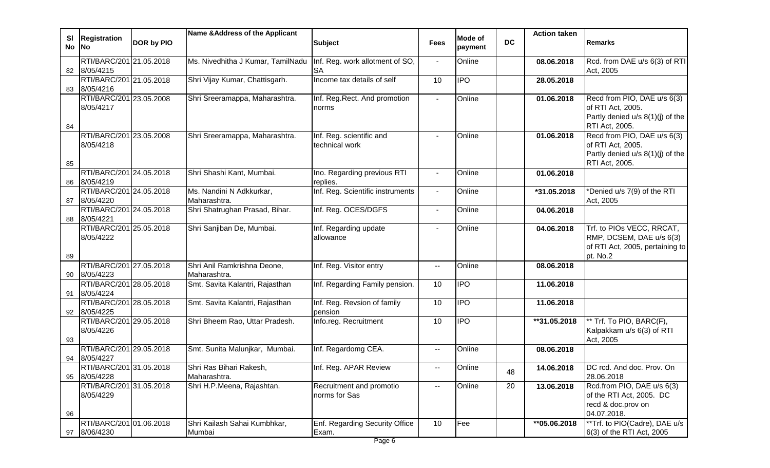| <b>SI</b> | <b>Registration</b>                     |                   | Name & Address of the Applicant   |                                         |                                               | Mode of        |           | <b>Action taken</b> |                                                       |
|-----------|-----------------------------------------|-------------------|-----------------------------------|-----------------------------------------|-----------------------------------------------|----------------|-----------|---------------------|-------------------------------------------------------|
| No No     |                                         | <b>DOR by PIO</b> |                                   | <b>Subject</b>                          | <b>Fees</b>                                   | payment        | <b>DC</b> |                     | Remarks                                               |
|           |                                         |                   |                                   |                                         |                                               |                |           |                     |                                                       |
|           | RTI/BARC/201 21.05.2018                 |                   | Ms. Nivedhitha J Kumar, TamilNadu | Inf. Reg. work allotment of SO,         | $\overline{\phantom{a}}$                      | Online         |           | 08.06.2018          | Rcd. from DAE u/s 6(3) of RTI                         |
|           | 82 8/05/4215<br>RTI/BARC/201 21.05.2018 |                   | Shri Vijay Kumar, Chattisgarh.    | <b>SA</b><br>Income tax details of self | 10                                            | $\overline{1}$ |           | 28.05.2018          | Act, 2005                                             |
|           | 83 8/05/4216                            |                   |                                   |                                         |                                               |                |           |                     |                                                       |
|           | RTI/BARC/201 23.05.2008                 |                   | Shri Sreeramappa, Maharashtra.    | Inf. Reg.Rect. And promotion            | $\blacksquare$                                | Online         |           | 01.06.2018          | Recd from PIO, DAE u/s 6(3)                           |
|           | 8/05/4217                               |                   |                                   | norms                                   |                                               |                |           |                     | of RTI Act, 2005.                                     |
|           |                                         |                   |                                   |                                         |                                               |                |           |                     | Partly denied u/s 8(1)(j) of the                      |
| 84        |                                         |                   |                                   |                                         |                                               |                |           |                     | RTI Act, 2005.                                        |
|           | RTI/BARC/201 23.05.2008                 |                   | Shri Sreeramappa, Maharashtra.    | Inf. Reg. scientific and                | $\sim$                                        | Online         |           | 01.06.2018          | Recd from PIO, DAE u/s 6(3)                           |
|           | 8/05/4218                               |                   |                                   | technical work                          |                                               |                |           |                     | of RTI Act, 2005.<br>Partly denied u/s 8(1)(j) of the |
| 85        |                                         |                   |                                   |                                         |                                               |                |           |                     | RTI Act, 2005.                                        |
|           | RTI/BARC/201 24.05.2018                 |                   | Shri Shashi Kant, Mumbai.         | Ino. Regarding previous RTI             | $\overline{\phantom{a}}$                      | Online         |           | 01.06.2018          |                                                       |
| 86        | 8/05/4219                               |                   |                                   | replies.                                |                                               |                |           |                     |                                                       |
|           | RTI/BARC/201 24.05.2018                 |                   | Ms. Nandini N Adkkurkar,          | Inf. Reg. Scientific instruments        | $\sim$                                        | Online         |           | *31.05.2018         | *Denied u/s 7(9) of the RTI                           |
| 87        | 8/05/4220                               |                   | Maharashtra.                      |                                         |                                               |                |           |                     | Act, 2005                                             |
|           | RTI/BARC/201 24.05.2018                 |                   | Shri Shatrughan Prasad, Bihar.    | Inf. Reg. OCES/DGFS                     | $\overline{\phantom{a}}$                      | Online         |           | 04.06.2018          |                                                       |
| 88        | 8/05/4221                               |                   |                                   |                                         |                                               |                |           |                     |                                                       |
|           | RTI/BARC/201 25.05.2018                 |                   | Shri Sanjiban De, Mumbai.         | Inf. Regarding update                   |                                               | Online         |           | 04.06.2018          | Trf. to PIOs VECC, RRCAT,<br>RMP, DCSEM, DAE u/s 6(3) |
|           | 8/05/4222                               |                   |                                   | allowance                               |                                               |                |           |                     | of RTI Act, 2005, pertaining to                       |
| 89        |                                         |                   |                                   |                                         |                                               |                |           |                     | pt. No.2                                              |
|           | RTI/BARC/201 27.05.2018                 |                   | Shri Anil Ramkrishna Deone,       | Inf. Reg. Visitor entry                 | $\overline{\phantom{a}}$                      | Online         |           | 08.06.2018          |                                                       |
|           | 90 8/05/4223                            |                   | Maharashtra.                      |                                         |                                               |                |           |                     |                                                       |
|           | RTI/BARC/201 28.05.2018                 |                   | Smt. Savita Kalantri, Rajasthan   | Inf. Regarding Family pension.          | 10                                            | $\overline{1}$ |           | 11.06.2018          |                                                       |
| 91        | 8/05/4224                               |                   |                                   |                                         |                                               |                |           |                     |                                                       |
|           | RTI/BARC/201 28.05.2018                 |                   | Smt. Savita Kalantri, Rajasthan   | Inf. Reg. Revsion of family             | 10                                            | $\overline{1}$ |           | 11.06.2018          |                                                       |
|           | 92 8/05/4225                            |                   |                                   | pension                                 |                                               |                |           |                     |                                                       |
|           | RTI/BARC/201 29.05.2018<br>8/05/4226    |                   | Shri Bheem Rao, Uttar Pradesh.    | Info.reg. Recruitment                   | 10                                            | $\overline{1}$ |           | **31.05.2018        | ** Trf. To PIO, BARC(F),<br>Kalpakkam u/s 6(3) of RTI |
| 93        |                                         |                   |                                   |                                         |                                               |                |           |                     | Act, 2005                                             |
|           | RTI/BARC/201 29.05.2018                 |                   | Smt. Sunita Malunjkar, Mumbai.    | Inf. Regardomg CEA.                     | $\mathord{\hspace{1pt}\text{--}\hspace{1pt}}$ | Online         |           | 08.06.2018          |                                                       |
| 94        | 8/05/4227                               |                   |                                   |                                         |                                               |                |           |                     |                                                       |
|           | RTI/BARC/201 31.05.2018                 |                   | Shri Ras Bihari Rakesh,           | Inf. Reg. APAR Review                   | $\overline{\phantom{a}}$                      | Online         |           | 14.06.2018          | DC rcd. And doc. Prov. On                             |
| 95        | 8/05/4228                               |                   | Maharashtra.                      |                                         |                                               |                | 48        |                     | 28.06.2018                                            |
|           | RTI/BARC/201 31.05.2018                 |                   | Shri H.P.Meena, Rajashtan.        | Recruitment and promotio                | $- -$                                         | Online         | 20        | 13.06.2018          | Rcd.from PIO, DAE u/s 6(3)                            |
|           | 8/05/4229                               |                   |                                   | norms for Sas                           |                                               |                |           |                     | of the RTI Act, 2005. DC                              |
|           |                                         |                   |                                   |                                         |                                               |                |           |                     | recd & doc.prov on<br>04.07.2018.                     |
| 96        | RTI/BARC/201 01.06.2018                 |                   | Shri Kailash Sahai Kumbhkar,      | Enf. Regarding Security Office          | 10                                            | Fee            |           | **05.06.2018        | **Trf. to PIO(Cadre), DAE u/s                         |
|           | 97 8/06/4230                            |                   | Mumbai                            | Exam.                                   |                                               |                |           |                     | 6(3) of the RTI Act, 2005                             |
|           |                                         |                   |                                   |                                         |                                               |                |           |                     |                                                       |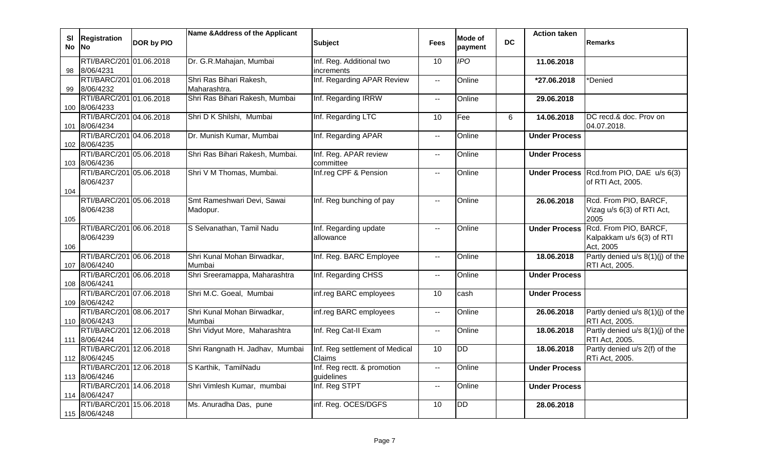| SI<br><b>No</b> | <b>Registration</b><br><b>No</b>         | DOR by PIO | Name & Address of the Applicant         | <b>Subject</b>                            | <b>Fees</b>              | Mode of<br>payment | <b>DC</b> | <b>Action taken</b>  | <b>Remarks</b>                                                  |
|-----------------|------------------------------------------|------------|-----------------------------------------|-------------------------------------------|--------------------------|--------------------|-----------|----------------------|-----------------------------------------------------------------|
| 98              | RTI/BARC/201 01.06.2018<br>8/06/4231     |            | Dr. G.R.Mahajan, Mumbai                 | Inf. Reg. Additional two<br>increments    | 10                       | $\overline{IPO}$   |           | 11.06.2018           |                                                                 |
| 99              | RTI/BARC/201 01.06.2018<br>8/06/4232     |            | Shri Ras Bihari Rakesh,<br>Maharashtra. | Inf. Regarding APAR Review                | $\overline{\phantom{a}}$ | Online             |           | *27.06.2018          | *Denied                                                         |
|                 | RTI/BARC/201 01.06.2018<br>100 8/06/4233 |            | Shri Ras Bihari Rakesh, Mumbai          | Inf. Regarding IRRW                       | $\overline{\phantom{a}}$ | Online             |           | 29.06.2018           |                                                                 |
| 101             | RTI/BARC/201 04.06.2018<br>8/06/4234     |            | Shri D K Shilshi, Mumbai                | Inf. Regarding LTC                        | 10                       | Fee                | 6         | 14.06.2018           | DC recd.& doc. Prov on<br>04.07.2018.                           |
|                 | RTI/BARC/201 04.06.2018<br>102 8/06/4235 |            | Dr. Munish Kumar, Mumbai                | Inf. Regarding APAR                       | $\sim$                   | Online             |           | <b>Under Process</b> |                                                                 |
|                 | RTI/BARC/201 05.06.2018<br>103 8/06/4236 |            | Shri Ras Bihari Rakesh, Mumbai.         | Inf. Reg. APAR review<br>committee        | $\overline{\phantom{a}}$ | Online             |           | <b>Under Process</b> |                                                                 |
| 104             | RTI/BARC/201 05.06.2018<br>8/06/4237     |            | Shri V M Thomas, Mumbai.                | Inf.reg CPF & Pension                     | $\sim$                   | Online             |           |                      | Under Process Rcd.from PIO, DAE u/s 6(3)<br>of RTI Act, 2005.   |
| 105             | RTI/BARC/201 05.06.2018<br>8/06/4238     |            | Smt Rameshwari Devi, Sawai<br>Madopur.  | Inf. Reg bunching of pay                  | $\sim$                   | Online             |           | 26.06.2018           | Rcd. From PIO, BARCF,<br>Vizag u/s 6(3) of RTI Act,<br>2005     |
| 106             | RTI/BARC/201 06.06.2018<br>8/06/4239     |            | S Selvanathan, Tamil Nadu               | Inf. Regarding update<br>allowance        | --                       | Online             |           | <b>Under Process</b> | Rcd. From PIO, BARCF,<br>Kalpakkam u/s 6(3) of RTI<br>Act, 2005 |
| 107             | RTI/BARC/201 06.06.2018<br>8/06/4240     |            | Shri Kunal Mohan Birwadkar,<br>Mumbai   | Inf. Reg. BARC Employee                   | $\sim$                   | Online             |           | 18.06.2018           | Partly denied u/s 8(1)(j) of the<br>RTI Act, 2005.              |
|                 | RTI/BARC/201 06.06.2018<br>108 8/06/4241 |            | Shri Sreeramappa, Maharashtra           | Inf. Regarding CHSS                       | $\overline{\phantom{a}}$ | Online             |           | <b>Under Process</b> |                                                                 |
|                 | RTI/BARC/201 07.06.2018<br>109 8/06/4242 |            | Shri M.C. Goeal, Mumbai                 | inf.reg BARC employees                    | 10                       | cash               |           | <b>Under Process</b> |                                                                 |
|                 | RTI/BARC/201 08.06.2017<br>110 8/06/4243 |            | Shri Kunal Mohan Birwadkar,<br>Mumbai   | inf.reg BARC employees                    | $\sim$                   | Online             |           | 26.06.2018           | Partly denied u/s 8(1)(j) of the<br>RTI Act, 2005.              |
|                 | RTI/BARC/201 12.06.2018<br>111 8/06/4244 |            | Shri Vidyut More, Maharashtra           | Inf. Reg Cat-II Exam                      | $\sim$                   | Online             |           | 18.06.2018           | Partly denied u/s 8(1)(j) of the<br>RTI Act, 2005.              |
|                 | RTI/BARC/201 12.06.2018<br>112 8/06/4245 |            | Shri Rangnath H. Jadhav, Mumbai         | Inf. Reg settlement of Medical<br>Claims  | 10                       | <b>DD</b>          |           | 18.06.2018           | Partly denied u/s 2(f) of the<br>RTi Act, 2005.                 |
|                 | RTI/BARC/201 12.06.2018<br>113 8/06/4246 |            | S Karthik, TamilNadu                    | Inf. Reg rectt. & promotion<br>guidelines | $\sim$                   | Online             |           | <b>Under Process</b> |                                                                 |
|                 | RTI/BARC/201 14.06.2018<br>114 8/06/4247 |            | Shri Vimlesh Kumar, mumbai              | Inf. Reg STPT                             | $\mathbf{H}$             | Online             |           | <b>Under Process</b> |                                                                 |
|                 | RTI/BARC/201 15.06.2018<br>115 8/06/4248 |            | Ms. Anuradha Das, pune                  | inf. Reg. OCES/DGFS                       | 10                       | <b>DD</b>          |           | 28.06.2018           |                                                                 |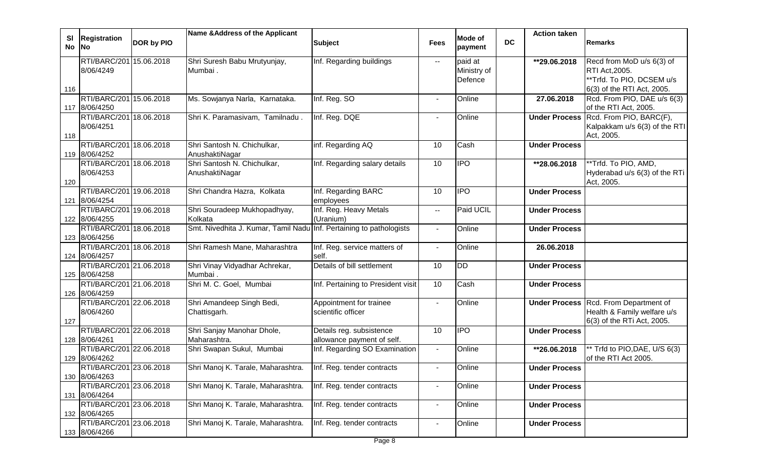| Recd from MoD u/s 6(3) of<br><b>RTI Act, 2005.</b><br>**Trfd. To PIO, DCSEM u/s<br>6(3) of the RTI Act, 2005.<br>Rcd. From PIO, DAE u/s 6(3)<br>of the RTI Act, 2005. |
|-----------------------------------------------------------------------------------------------------------------------------------------------------------------------|
|                                                                                                                                                                       |
|                                                                                                                                                                       |
|                                                                                                                                                                       |
|                                                                                                                                                                       |
|                                                                                                                                                                       |
|                                                                                                                                                                       |
|                                                                                                                                                                       |
| Rcd. From PIO, BARC(F),                                                                                                                                               |
| Kalpakkam u/s 6(3) of the RTI                                                                                                                                         |
|                                                                                                                                                                       |
|                                                                                                                                                                       |
|                                                                                                                                                                       |
| **Trfd. To PIO, AMD,                                                                                                                                                  |
| Hyderabad u/s 6(3) of the RTi                                                                                                                                         |
|                                                                                                                                                                       |
|                                                                                                                                                                       |
|                                                                                                                                                                       |
|                                                                                                                                                                       |
|                                                                                                                                                                       |
|                                                                                                                                                                       |
|                                                                                                                                                                       |
|                                                                                                                                                                       |
|                                                                                                                                                                       |
|                                                                                                                                                                       |
|                                                                                                                                                                       |
|                                                                                                                                                                       |
| <b>Under Process Rcd. From Department of</b>                                                                                                                          |
| Health & Family welfare u/s                                                                                                                                           |
| 6(3) of the RTi Act, 2005.                                                                                                                                            |
|                                                                                                                                                                       |
|                                                                                                                                                                       |
| ** Trfd to PIO, DAE, U/S 6(3)                                                                                                                                         |
| of the RTI Act 2005.                                                                                                                                                  |
|                                                                                                                                                                       |
|                                                                                                                                                                       |
|                                                                                                                                                                       |
|                                                                                                                                                                       |
|                                                                                                                                                                       |
|                                                                                                                                                                       |
|                                                                                                                                                                       |
|                                                                                                                                                                       |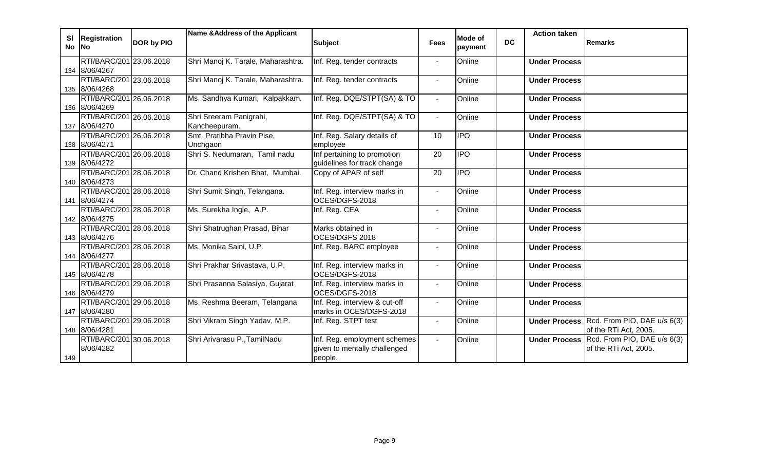| <b>SI</b> | <b>Registration</b>                      |                   | Name & Address of the Applicant    |                                                |                | Mode of        |           | <b>Action taken</b>  |                                                                    |
|-----------|------------------------------------------|-------------------|------------------------------------|------------------------------------------------|----------------|----------------|-----------|----------------------|--------------------------------------------------------------------|
|           | No No                                    | <b>DOR by PIO</b> |                                    | <b>Subject</b>                                 | <b>Fees</b>    | payment        | <b>DC</b> |                      | <b>Remarks</b>                                                     |
|           | RTI/BARC/201 23.06.2018                  |                   | Shri Manoj K. Tarale, Maharashtra. | Inf. Reg. tender contracts                     | $\sim$         | Online         |           | <b>Under Process</b> |                                                                    |
|           | 134 8/06/4267                            |                   |                                    |                                                |                |                |           |                      |                                                                    |
|           | RTI/BARC/201 23.06.2018                  |                   | Shri Manoj K. Tarale, Maharashtra. | Inf. Reg. tender contracts                     | $\mathbf{L}$   | Online         |           | <b>Under Process</b> |                                                                    |
|           | 135 8/06/4268                            |                   |                                    |                                                |                |                |           |                      |                                                                    |
|           | RTI/BARC/201 26.06.2018<br>136 8/06/4269 |                   | Ms. Sandhya Kumari, Kalpakkam.     | Inf. Reg. DQE/STPT(SA) & TO                    | $\sim$         | Online         |           | <b>Under Process</b> |                                                                    |
|           | RTI/BARC/201 26.06.2018                  |                   | Shri Sreeram Panigrahi,            | Inf. Reg. DQE/STPT(SA) & TO                    | $\blacksquare$ | Online         |           | <b>Under Process</b> |                                                                    |
|           | 137 8/06/4270                            |                   | Kancheepuram.                      |                                                |                |                |           |                      |                                                                    |
|           | RTI/BARC/201 26.06.2018                  |                   | Smt. Pratibha Pravin Pise,         | Inf. Reg. Salary details of                    | 10             | $\overline{1}$ |           | <b>Under Process</b> |                                                                    |
|           | 138 8/06/4271                            |                   | Unchgaon                           | employee                                       |                |                |           |                      |                                                                    |
|           | RTI/BARC/201 26.06.2018                  |                   | Shri S. Nedumaran, Tamil nadu      | Inf pertaining to promotion                    | 20             | <b>IPO</b>     |           | <b>Under Process</b> |                                                                    |
|           | 139 8/06/4272                            |                   |                                    | guidelines for track change                    |                |                |           |                      |                                                                    |
|           | RTI/BARC/201 28.06.2018                  |                   | Dr. Chand Krishen Bhat, Mumbai.    | Copy of APAR of self                           | 20             | <b>IPO</b>     |           | <b>Under Process</b> |                                                                    |
|           | 140 8/06/4273                            |                   |                                    |                                                |                |                |           |                      |                                                                    |
|           | RTI/BARC/201 28.06.2018<br>141 8/06/4274 |                   | Shri Sumit Singh, Telangana.       | Inf. Reg. interview marks in<br>OCES/DGFS-2018 | $\blacksquare$ | Online         |           | <b>Under Process</b> |                                                                    |
|           | RTI/BARC/201 28.06.2018                  |                   | Ms. Surekha Ingle, A.P.            | Inf. Reg. CEA                                  | $\sim$         | Online         |           | <b>Under Process</b> |                                                                    |
|           | 142 8/06/4275                            |                   |                                    |                                                |                |                |           |                      |                                                                    |
|           | RTI/BARC/201 28.06.2018                  |                   | Shri Shatrughan Prasad, Bihar      | Marks obtained in                              |                | Online         |           | <b>Under Process</b> |                                                                    |
|           | 143 8/06/4276                            |                   |                                    | OCES/DGFS 2018                                 |                |                |           |                      |                                                                    |
|           | RTI/BARC/201 28.06.2018                  |                   | Ms. Monika Saini, U.P.             | Inf. Reg. BARC employee                        |                | Online         |           | <b>Under Process</b> |                                                                    |
|           | 144 8/06/4277                            |                   |                                    |                                                |                |                |           |                      |                                                                    |
|           | RTI/BARC/201 28.06.2018                  |                   | Shri Prakhar Srivastava, U.P.      | Inf. Reg. interview marks in                   | $\blacksquare$ | Online         |           | <b>Under Process</b> |                                                                    |
|           | 145 8/06/4278                            |                   |                                    | OCES/DGFS-2018                                 |                |                |           |                      |                                                                    |
|           | RTI/BARC/201 29.06.2018                  |                   | Shri Prasanna Salasiya, Gujarat    | Inf. Reg. interview marks in                   | $\sim$         | Online         |           | <b>Under Process</b> |                                                                    |
|           | 146 8/06/4279                            |                   |                                    | OCES/DGFS-2018                                 |                |                |           |                      |                                                                    |
|           | RTI/BARC/201 29.06.2018                  |                   | Ms. Reshma Beeram, Telangana       | Inf. Reg. interview & cut-off                  | $\blacksquare$ | Online         |           | <b>Under Process</b> |                                                                    |
|           | 147 8/06/4280<br>RTI/BARC/201 29.06.2018 |                   |                                    | marks in OCES/DGFS-2018                        |                |                |           |                      |                                                                    |
|           | 148 8/06/4281                            |                   | Shri Vikram Singh Yadav, M.P.      | Inf. Reg. STPT test                            | $\blacksquare$ | Online         |           |                      | Under Process Rcd. From PIO, DAE u/s 6(3)<br>of the RTi Act, 2005. |
|           | RTI/BARC/201 30.06.2018                  |                   | Shri Arivarasu P., TamilNadu       | Inf. Reg. employment schemes                   | $\blacksquare$ | Online         |           |                      | Under Process Rcd. From PIO, DAE u/s 6(3)                          |
|           | 8/06/4282                                |                   |                                    | given to mentally challenged                   |                |                |           |                      | of the RTi Act, 2005.                                              |
| 149       |                                          |                   |                                    | people.                                        |                |                |           |                      |                                                                    |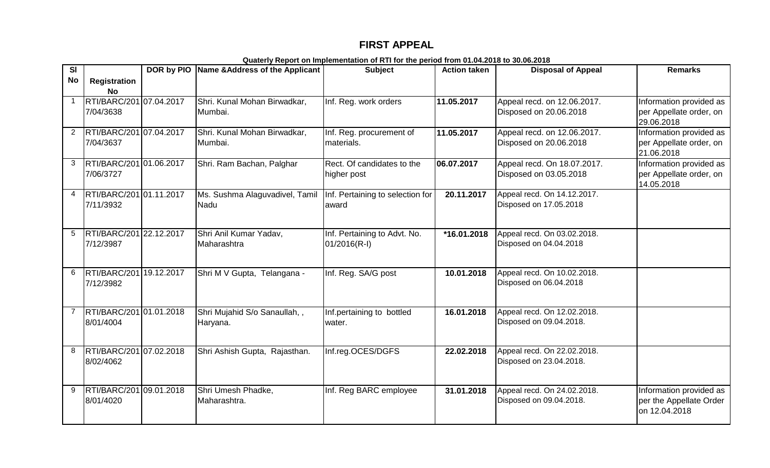# **FIRST APPEAL**

| SI             |                         |            | DOR by PIO Name & Address of the Applicant | <b>Subject</b>                   | <b>Action taken</b> | <b>Disposal of Appeal</b>   | <b>Remarks</b>          |
|----------------|-------------------------|------------|--------------------------------------------|----------------------------------|---------------------|-----------------------------|-------------------------|
| <b>No</b>      | <b>Registration</b>     |            |                                            |                                  |                     |                             |                         |
|                | No                      |            |                                            |                                  |                     |                             |                         |
|                | RTI/BARC/201 07.04.2017 |            | Shri. Kunal Mohan Birwadkar,               | Inf. Reg. work orders            | 11.05.2017          | Appeal recd. on 12.06.2017. | Information provided as |
|                |                         |            |                                            |                                  |                     |                             |                         |
|                | 7/04/3638               |            | Mumbai.                                    |                                  |                     | Disposed on 20.06.2018      | per Appellate order, on |
|                |                         |            |                                            |                                  |                     |                             | 29.06.2018              |
| $\overline{2}$ | RTI/BARC/201 07.04.2017 |            | Shri. Kunal Mohan Birwadkar,               | Inf. Reg. procurement of         | 11.05.2017          | Appeal recd. on 12.06.2017. | Information provided as |
|                | 7/04/3637               |            | Mumbai.                                    | materials.                       |                     | Disposed on 20.06.2018      | per Appellate order, on |
|                |                         |            |                                            |                                  |                     |                             | 21.06.2018              |
| 3              | RTI/BARC/201 01.06.2017 |            | Shri. Ram Bachan, Palghar                  | Rect. Of candidates to the       | 06.07.2017          | Appeal recd. On 18.07.2017. | Information provided as |
|                | 7/06/3727               |            |                                            | higher post                      |                     | Disposed on 03.05.2018      | per Appellate order, on |
|                |                         |            |                                            |                                  |                     |                             | 14.05.2018              |
| 4              | RTI/BARC/201 01.11.2017 |            | Ms. Sushma Alaguvadivel, Tamil             | Inf. Pertaining to selection for | 20.11.2017          | Appeal recd. On 14.12.2017. |                         |
|                | 7/11/3932               |            | Nadu                                       | award                            |                     | Disposed on 17.05.2018      |                         |
|                |                         |            |                                            |                                  |                     |                             |                         |
|                |                         |            |                                            |                                  |                     |                             |                         |
| 5              | RTI/BARC/201 22.12.2017 |            | Shri Anil Kumar Yadav,                     |                                  | *16.01.2018         | Appeal recd. On 03.02.2018. |                         |
|                |                         |            |                                            | Inf. Pertaining to Advt. No.     |                     |                             |                         |
|                | 7/12/3987               |            | Maharashtra                                | $01/2016(R-I)$                   |                     | Disposed on 04.04.2018      |                         |
|                |                         |            |                                            |                                  |                     |                             |                         |
|                |                         |            |                                            |                                  |                     |                             |                         |
| 6              | RTI/BARC/201 19.12.2017 |            | Shri M V Gupta, Telangana -                | Inf. Reg. SA/G post              | 10.01.2018          | Appeal recd. On 10.02.2018. |                         |
|                | 7/12/3982               |            |                                            |                                  |                     | Disposed on 06.04.2018      |                         |
|                |                         |            |                                            |                                  |                     |                             |                         |
|                |                         |            |                                            |                                  |                     |                             |                         |
|                | RTI/BARC/201 01.01.2018 |            | Shri Mujahid S/o Sanaullah,,               | Inf.pertaining to bottled        | 16.01.2018          | Appeal recd. On 12.02.2018. |                         |
|                | 8/01/4004               |            | Haryana.                                   | water.                           |                     | Disposed on 09.04.2018.     |                         |
|                |                         |            |                                            |                                  |                     |                             |                         |
|                |                         |            |                                            |                                  |                     |                             |                         |
| 8              | RTI/BARC/201 07.02.2018 |            | Shri Ashish Gupta, Rajasthan.              | Inf.reg.OCES/DGFS                | 22.02.2018          | Appeal recd. On 22.02.2018. |                         |
|                | 8/02/4062               |            |                                            |                                  |                     | Disposed on 23.04.2018.     |                         |
|                |                         |            |                                            |                                  |                     |                             |                         |
|                |                         |            |                                            |                                  |                     |                             |                         |
| 9              | RTI/BARC/201            | 09.01.2018 | Shri Umesh Phadke,                         | Inf. Reg BARC employee           | 31.01.2018          | Appeal recd. On 24.02.2018. | Information provided as |
|                | 8/01/4020               |            | Maharashtra.                               |                                  |                     | Disposed on 09.04.2018.     | per the Appellate Order |
|                |                         |            |                                            |                                  |                     |                             | on 12.04.2018           |
|                |                         |            |                                            |                                  |                     |                             |                         |

**Quaterly Report on Implementation of RTI for the period from 01.04.2018 to 30.06.2018**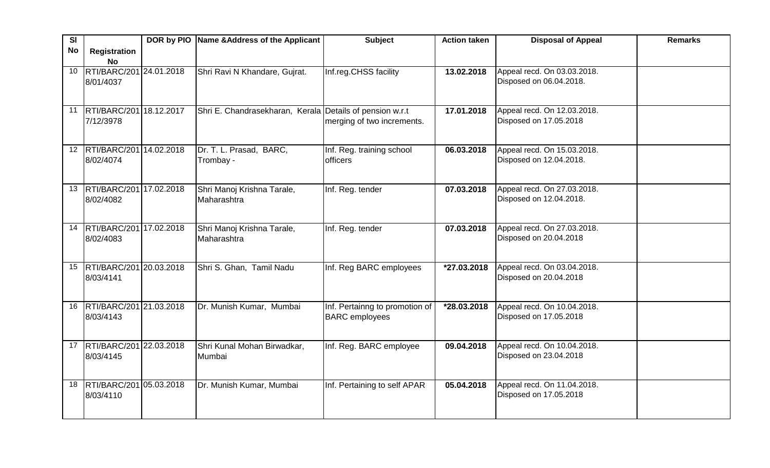| SI              |                                | DOR by PIO Name & Address of the Applicant               | <b>Subject</b>                 | <b>Action taken</b>     | <b>Disposal of Appeal</b>   | <b>Remarks</b> |
|-----------------|--------------------------------|----------------------------------------------------------|--------------------------------|-------------------------|-----------------------------|----------------|
| No              | <b>Registration</b>            |                                                          |                                |                         |                             |                |
|                 | <b>No</b>                      |                                                          |                                |                         |                             |                |
| 10 <sup>1</sup> | RTI/BARC/201 24.01.2018        | Shri Ravi N Khandare, Gujrat.                            | Inf.reg.CHSS facility          | 13.02.2018              | Appeal recd. On 03.03.2018. |                |
|                 | 8/01/4037                      |                                                          |                                |                         | Disposed on 06.04.2018.     |                |
|                 |                                |                                                          |                                |                         |                             |                |
|                 | 11  RTI/BARC/201 18.12.2017    | Shri E. Chandrasekharan, Kerala Details of pension w.r.t |                                | 17.01.2018              | Appeal recd. On 12.03.2018. |                |
|                 | 7/12/3978                      |                                                          | merging of two increments.     |                         | Disposed on 17.05.2018      |                |
|                 |                                |                                                          |                                |                         |                             |                |
| 12 <sup>2</sup> | RTI/BARC/201 14.02.2018        | Dr. T. L. Prasad, BARC,                                  | Inf. Reg. training school      | 06.03.2018              | Appeal recd. On 15.03.2018. |                |
|                 | 8/02/4074                      | Trombay -                                                | <b>officers</b>                |                         | Disposed on 12.04.2018.     |                |
|                 |                                |                                                          |                                |                         |                             |                |
|                 |                                |                                                          |                                |                         |                             |                |
|                 | 13   RTI/BARC/201   17.02.2018 | Shri Manoj Krishna Tarale,                               | Inf. Reg. tender               | 07.03.2018              | Appeal recd. On 27.03.2018. |                |
|                 | 8/02/4082                      | Maharashtra                                              |                                |                         | Disposed on 12.04.2018.     |                |
|                 |                                |                                                          |                                |                         |                             |                |
| 14              | RTI/BARC/201 17.02.2018        | Shri Manoj Krishna Tarale,                               | Inf. Reg. tender               | 07.03.2018              | Appeal recd. On 27.03.2018. |                |
|                 | 8/02/4083                      | Maharashtra                                              |                                |                         | Disposed on 20.04.2018      |                |
|                 |                                |                                                          |                                |                         |                             |                |
|                 | 15 RTI/BARC/201 20.03.2018     | Shri S. Ghan, Tamil Nadu                                 | Inf. Reg BARC employees        | $\overline{27.03.2018}$ | Appeal recd. On 03.04.2018. |                |
|                 | 8/03/4141                      |                                                          |                                |                         | Disposed on 20.04.2018      |                |
|                 |                                |                                                          |                                |                         |                             |                |
|                 |                                |                                                          |                                |                         |                             |                |
| 16              | RTI/BARC/201 21.03.2018        | Dr. Munish Kumar, Mumbai                                 | Inf. Pertainng to promotion of | *28.03.2018             | Appeal recd. On 10.04.2018. |                |
|                 | 8/03/4143                      |                                                          | <b>BARC</b> employees          |                         | Disposed on 17.05.2018      |                |
|                 |                                |                                                          |                                |                         |                             |                |
| 17              | RTI/BARC/201 22.03.2018        | Shri Kunal Mohan Birwadkar,                              | Inf. Reg. BARC employee        | 09.04.2018              | Appeal recd. On 10.04.2018. |                |
|                 | 8/03/4145                      | Mumbai                                                   |                                |                         | Disposed on 23.04.2018      |                |
|                 |                                |                                                          |                                |                         |                             |                |
|                 | 18 RTI/BARC/201 05.03.2018     | Dr. Munish Kumar, Mumbai                                 | Inf. Pertaining to self APAR   | 05.04.2018              | Appeal recd. On 11.04.2018. |                |
|                 | 8/03/4110                      |                                                          |                                |                         | Disposed on 17.05.2018      |                |
|                 |                                |                                                          |                                |                         |                             |                |
|                 |                                |                                                          |                                |                         |                             |                |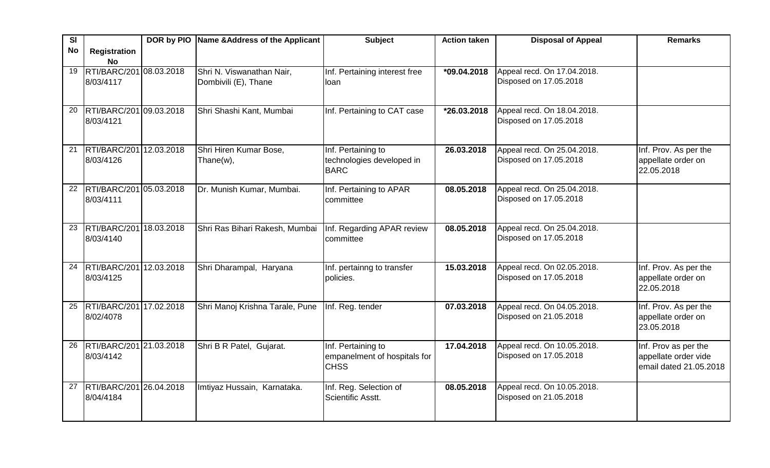| SI        |                                  | DOR by PIO Name & Address of the Applicant | <b>Subject</b>                | <b>Action taken</b> | <b>Disposal of Appeal</b>   | <b>Remarks</b>                   |
|-----------|----------------------------------|--------------------------------------------|-------------------------------|---------------------|-----------------------------|----------------------------------|
| <b>No</b> | <b>Registration</b><br><b>No</b> |                                            |                               |                     |                             |                                  |
| 19        | RTI/BARC/201 08.03.2018          | Shri N. Viswanathan Nair,                  | Inf. Pertaining interest free | *09.04.2018         | Appeal recd. On 17.04.2018. |                                  |
|           | 8/03/4117                        | Dombivili (E), Thane                       | loan                          |                     | Disposed on 17.05.2018      |                                  |
|           |                                  |                                            |                               |                     |                             |                                  |
| 20        | RTI/BARC/201 09.03.2018          | Shri Shashi Kant, Mumbai                   | Inf. Pertaining to CAT case   | *26.03.2018         | Appeal recd. On 18.04.2018. |                                  |
|           | 8/03/4121                        |                                            |                               |                     | Disposed on 17.05.2018      |                                  |
|           |                                  |                                            |                               |                     |                             |                                  |
| 21        | RTI/BARC/201 12.03.2018          | Shri Hiren Kumar Bose,                     | Inf. Pertaining to            | 26.03.2018          | Appeal recd. On 25.04.2018. | Inf. Prov. As per the            |
|           | 8/03/4126                        | Thane(w),                                  | technologies developed in     |                     | Disposed on 17.05.2018      | appellate order on               |
|           |                                  |                                            | <b>BARC</b>                   |                     |                             | 22.05.2018                       |
| 22        | RTI/BARC/201 05.03.2018          | Dr. Munish Kumar, Mumbai.                  | Inf. Pertaining to APAR       | 08.05.2018          | Appeal recd. On 25.04.2018. |                                  |
|           | 8/03/4111                        |                                            | committee                     |                     | Disposed on 17.05.2018      |                                  |
|           |                                  |                                            |                               |                     |                             |                                  |
| 23        | RTI/BARC/201 18.03.2018          | Shri Ras Bihari Rakesh, Mumbai             | Inf. Regarding APAR review    | 08.05.2018          | Appeal recd. On 25.04.2018. |                                  |
|           | 8/03/4140                        |                                            | committee                     |                     | Disposed on 17.05.2018      |                                  |
|           |                                  |                                            |                               |                     |                             |                                  |
| 24        | RTI/BARC/201 12.03.2018          | Shri Dharampal, Haryana                    | Inf. pertainng to transfer    | 15.03.2018          | Appeal recd. On 02.05.2018. | Inf. Prov. As per the            |
|           | 8/03/4125                        |                                            | policies.                     |                     | Disposed on 17.05.2018      | appellate order on<br>22.05.2018 |
|           |                                  |                                            |                               |                     |                             |                                  |
| 25        | RTI/BARC/201 17.02.2018          | Shri Manoj Krishna Tarale, Pune            | Inf. Reg. tender              | 07.03.2018          | Appeal recd. On 04.05.2018. | Inf. Prov. As per the            |
|           | 8/02/4078                        |                                            |                               |                     | Disposed on 21.05.2018      | appellate order on               |
|           |                                  |                                            |                               |                     |                             | 23.05.2018                       |
| 26        | RTI/BARC/201 21.03.2018          | Shri B R Patel, Gujarat.                   | Inf. Pertaining to            | 17.04.2018          | Appeal recd. On 10.05.2018. | Inf. Prov as per the             |
|           | 8/03/4142                        |                                            | empanelment of hospitals for  |                     | Disposed on 17.05.2018      | appellate order vide             |
|           |                                  |                                            | <b>CHSS</b>                   |                     |                             | email dated 21.05.2018           |
| 27        | RTI/BARC/201 26.04.2018          | Imtiyaz Hussain, Karnataka.                | Inf. Reg. Selection of        | 08.05.2018          | Appeal recd. On 10.05.2018. |                                  |
|           | 8/04/4184                        |                                            | Scientific Asstt.             |                     | Disposed on 21.05.2018      |                                  |
|           |                                  |                                            |                               |                     |                             |                                  |